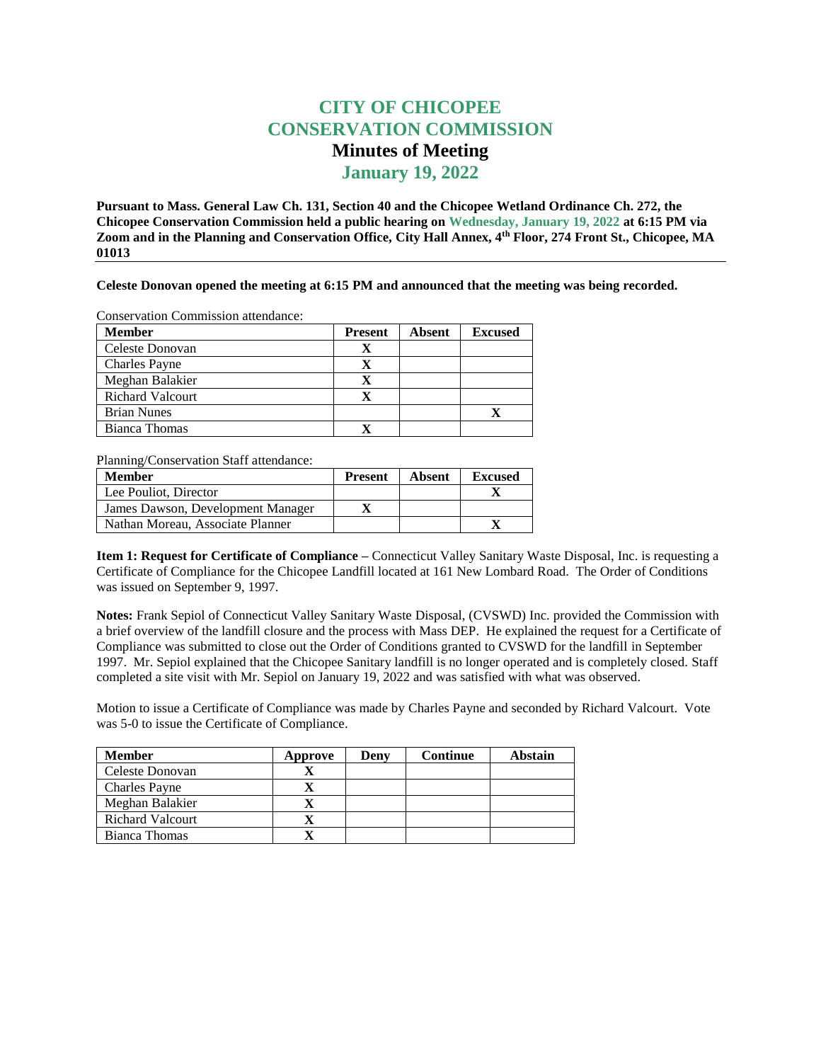## **CITY OF CHICOPEE CONSERVATION COMMISSION Minutes of Meeting January 19, 2022**

**Pursuant to Mass. General Law Ch. 131, Section 40 and the Chicopee Wetland Ordinance Ch. 272, the Chicopee Conservation Commission held a public hearing on Wednesday, January 19, 2022 at 6:15 PM via Zoom and in the Planning and Conservation Office, City Hall Annex, 4th Floor, 274 Front St., Chicopee, MA 01013**

**Celeste Donovan opened the meeting at 6:15 PM and announced that the meeting was being recorded.** 

Conservation Commission attendance:

| <b>Member</b>           | <b>Present</b> | <b>Absent</b> | <b>Excused</b> |
|-------------------------|----------------|---------------|----------------|
| Celeste Donovan         | x              |               |                |
| <b>Charles Payne</b>    | x              |               |                |
| Meghan Balakier         | X              |               |                |
| <b>Richard Valcourt</b> | X              |               |                |
| <b>Brian Nunes</b>      |                |               |                |
| Bianca Thomas           |                |               |                |

Planning/Conservation Staff attendance:

| <b>Member</b>                     | <b>Present</b> | Absent | <b>Excused</b> |
|-----------------------------------|----------------|--------|----------------|
| Lee Pouliot, Director             |                |        |                |
| James Dawson, Development Manager |                |        |                |
| Nathan Moreau, Associate Planner  |                |        |                |

**Item 1: Request for Certificate of Compliance –** Connecticut Valley Sanitary Waste Disposal, Inc. is requesting a Certificate of Compliance for the Chicopee Landfill located at 161 New Lombard Road. The Order of Conditions was issued on September 9, 1997.

**Notes:** Frank Sepiol of Connecticut Valley Sanitary Waste Disposal, (CVSWD) Inc. provided the Commission with a brief overview of the landfill closure and the process with Mass DEP. He explained the request for a Certificate of Compliance was submitted to close out the Order of Conditions granted to CVSWD for the landfill in September 1997. Mr. Sepiol explained that the Chicopee Sanitary landfill is no longer operated and is completely closed. Staff completed a site visit with Mr. Sepiol on January 19, 2022 and was satisfied with what was observed.

Motion to issue a Certificate of Compliance was made by Charles Payne and seconded by Richard Valcourt. Vote was 5-0 to issue the Certificate of Compliance.

| <b>Member</b>           | Approve | Denv | <b>Continue</b> | Abstain |
|-------------------------|---------|------|-----------------|---------|
| Celeste Donovan         |         |      |                 |         |
| <b>Charles Payne</b>    |         |      |                 |         |
| Meghan Balakier         |         |      |                 |         |
| <b>Richard Valcourt</b> |         |      |                 |         |
| Bianca Thomas           |         |      |                 |         |